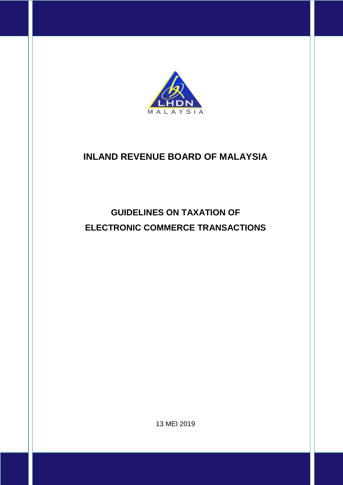

# **INLAND REVENUE BOARD OF MALAYSIA**

# **GUIDELINES ON TAXATION OF ELECTRONIC COMMERCE TRANSACTIONS**

13 MEI 2019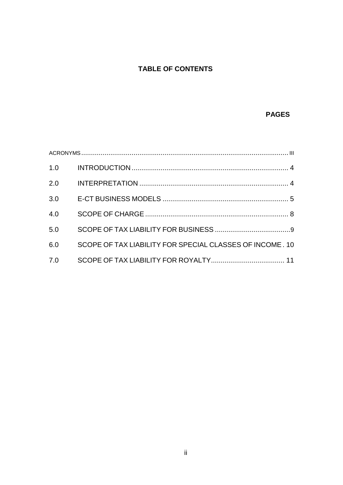# **TABLE OF CONTENTS**

# **PAGES**

| 1.0 |                                                          |  |
|-----|----------------------------------------------------------|--|
| 2.0 |                                                          |  |
| 3.0 |                                                          |  |
| 4.0 |                                                          |  |
| 5.0 |                                                          |  |
| 6.0 | SCOPE OF TAX LIABILITY FOR SPECIAL CLASSES OF INCOME. 10 |  |
| 7.0 |                                                          |  |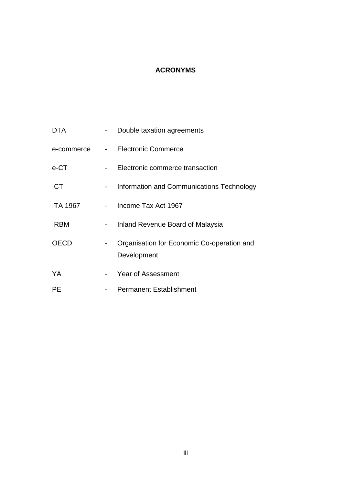# **ACRONYMS**

<span id="page-2-0"></span>

| <b>DTA</b>      |                 | Double taxation agreements                                |
|-----------------|-----------------|-----------------------------------------------------------|
| e-commerce      |                 | - Electronic Commerce                                     |
| e-CT            | $\sim$          | Electronic commerce transaction                           |
| <b>ICT</b>      | $\sim$ 10 $\pm$ | Information and Communications Technology                 |
| <b>ITA 1967</b> | $\sim 100$      | Income Tax Act 1967                                       |
| <b>IRBM</b>     | ٠               | Inland Revenue Board of Malaysia                          |
| <b>OECD</b>     | -               | Organisation for Economic Co-operation and<br>Development |
| YA              | $\sim$          | Year of Assessment                                        |
| <b>PE</b>       |                 | <b>Permanent Establishment</b>                            |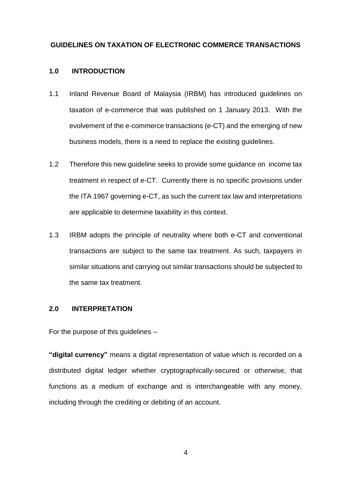# **GUIDELINES ON TAXATION OF ELECTRONIC COMMERCE TRANSACTIONS**

## <span id="page-3-0"></span>**1.0 INTRODUCTION**

- 1.1 Inland Revenue Board of Malaysia (IRBM) has introduced guidelines on taxation of e-commerce that was published on 1 January 2013. With the evolvement of the e-commerce transactions (e-CT) and the emerging of new business models, there is a need to replace the existing guidelines.
- 1.2 Therefore this new guideline seeks to provide some guidance on income tax treatment in respect of e-CT. Currently there is no specific provisions under the ITA 1967 governing e-CT, as such the current tax law and interpretations are applicable to determine taxability in this context.
- 1.3 IRBM adopts the principle of neutrality where both e-CT and conventional transactions are subject to the same tax treatment. As such, taxpayers in similar situations and carrying out similar transactions should be subjected to the same tax treatment.

# <span id="page-3-1"></span>**2.0 INTERPRETATION**

For the purpose of this guidelines –

**"digital currency"** means a digital representation of value which is recorded on a distributed digital ledger whether cryptographically-secured or otherwise, that functions as a medium of exchange and is interchangeable with any money, including through the crediting or debiting of an account.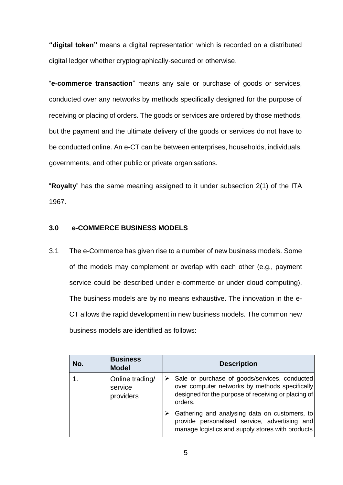**"digital token"** means a digital representation which is recorded on a distributed digital ledger whether cryptographically-secured or otherwise.

"**e-commerce transaction**" means any sale or purchase of goods or services, conducted over any networks by methods specifically designed for the purpose of receiving or placing of orders. The goods or services are ordered by those methods, but the payment and the ultimate delivery of the goods or services do not have to be conducted online. An e-CT can be between enterprises, households, individuals, governments, and other public or private organisations.

"**Royalty**" has the same meaning assigned to it under subsection 2(1) of the ITA 1967.

## <span id="page-4-0"></span>**3.0 e-COMMERCE BUSINESS MODELS**

3.1 The e-Commerce has given rise to a number of new business models. Some of the models may complement or overlap with each other (e.g., payment service could be described under e-commerce or under cloud computing). The business models are by no means exhaustive. The innovation in the e-CT allows the rapid development in new business models. The common new business models are identified as follows:

| No. | <b>Business</b><br><b>Model</b>         | <b>Description</b>                                                                                                                                                |
|-----|-----------------------------------------|-------------------------------------------------------------------------------------------------------------------------------------------------------------------|
|     | Online trading/<br>service<br>providers | Sale or purchase of goods/services, conducted<br>over computer networks by methods specifically<br>designed for the purpose of receiving or placing of<br>orders. |
|     |                                         | Gathering and analysing data on customers, to<br>provide personalised service, advertising and<br>manage logistics and supply stores with products                |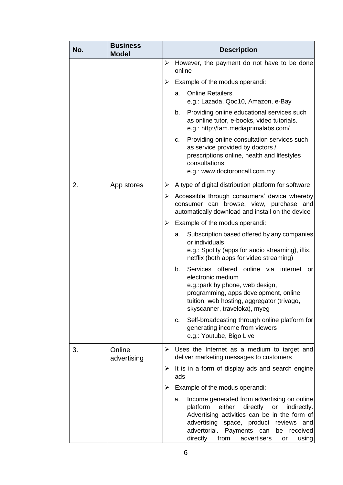| No. | <b>Business</b><br><b>Model</b> |   | <b>Description</b>                                                                                                                                                                                                                                                                                  |
|-----|---------------------------------|---|-----------------------------------------------------------------------------------------------------------------------------------------------------------------------------------------------------------------------------------------------------------------------------------------------------|
|     |                                 | ➤ | However, the payment do not have to be done<br>online                                                                                                                                                                                                                                               |
|     |                                 | ➤ | Example of the modus operandi:                                                                                                                                                                                                                                                                      |
|     |                                 |   | <b>Online Retailers.</b><br>a.<br>e.g.: Lazada, Qoo10, Amazon, e-Bay                                                                                                                                                                                                                                |
|     |                                 |   | b.<br>Providing online educational services such<br>as online tutor, e-books, video tutorials.<br>e.g.: http://fam.mediaprimalabs.com/                                                                                                                                                              |
|     |                                 |   | Providing online consultation services such<br>C.<br>as service provided by doctors /<br>prescriptions online, health and lifestyles<br>consultations<br>e.g.: www.doctoroncall.com.my                                                                                                              |
| 2.  | App stores                      | ➤ | A type of digital distribution platform for software                                                                                                                                                                                                                                                |
|     |                                 | ➤ | Accessible through consumers' device whereby<br>consumer can browse, view, purchase and<br>automatically download and install on the device                                                                                                                                                         |
|     |                                 | ➤ | Example of the modus operandi:                                                                                                                                                                                                                                                                      |
|     |                                 |   | Subscription based offered by any companies<br>a.<br>or individuals<br>e.g.: Spotify (apps for audio streaming), iflix,<br>netflix (both apps for video streaming)                                                                                                                                  |
|     |                                 |   | Services offered online via internet<br>b.<br>or<br>electronic medium<br>e.g.: park by phone, web design,<br>programming, apps development, online<br>tuition, web hosting, aggregator (trivago,<br>skyscanner, traveloka), myeg                                                                    |
|     |                                 |   | Self-broadcasting through online platform for<br>C.<br>generating income from viewers<br>e.g.: Youtube, Bigo Live                                                                                                                                                                                   |
| 3.  | Online<br>advertising           | ➤ | Uses the Internet as a medium to target and<br>deliver marketing messages to customers                                                                                                                                                                                                              |
|     |                                 |   | $\triangleright$ It is in a form of display ads and search engine<br>ads                                                                                                                                                                                                                            |
|     |                                 | ➤ | Example of the modus operandi:                                                                                                                                                                                                                                                                      |
|     |                                 |   | Income generated from advertising on online<br>a.<br>directly<br>platform<br>either<br>or<br>indirectly.<br>Advertising activities can be in the form of<br>advertising space, product reviews and<br>advertorial.<br>Payments can<br>be<br>received<br>directly from<br>advertisers<br>using<br>or |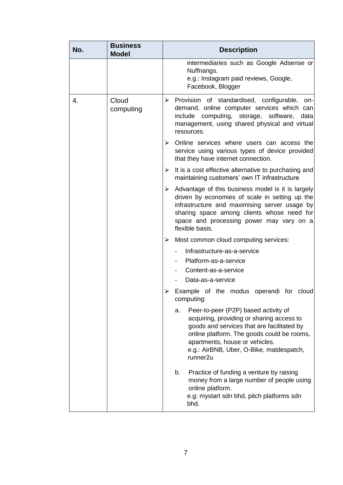| No. | <b>Business</b><br><b>Model</b> | <b>Description</b>                                                                                                                                                                                                                                                                        |
|-----|---------------------------------|-------------------------------------------------------------------------------------------------------------------------------------------------------------------------------------------------------------------------------------------------------------------------------------------|
|     |                                 | intermediaries such as Google Adsense or<br>Nuffnangs.<br>e.g.: Instagram paid reviews, Google,<br>Facebook, Blogger                                                                                                                                                                      |
| 4.  | Cloud<br>computing              | > Provision of standardised, configurable, on-<br>demand, online computer services which can<br>computing, storage,<br>include<br>software,<br>data<br>management, using shared physical and virtual<br>resources.                                                                        |
|     |                                 | $\triangleright$ Online services where users can access the<br>service using various types of device provided<br>that they have internet connection.                                                                                                                                      |
|     |                                 | It is a cost effective alternative to purchasing and<br>➤<br>maintaining customers' own IT infrastructure                                                                                                                                                                                 |
|     |                                 | Advantage of this business model is it is largely<br>➤<br>driven by economies of scale in setting up the<br>infrastructure and maximising server usage by<br>sharing space among clients whose need for<br>space and processing power may vary on a<br>flexible basis.                    |
|     |                                 | Most common cloud computing services:<br>➤                                                                                                                                                                                                                                                |
|     |                                 | Infrastructure-as-a-service                                                                                                                                                                                                                                                               |
|     |                                 | Platform-as-a-service                                                                                                                                                                                                                                                                     |
|     |                                 | Content-as-a-service                                                                                                                                                                                                                                                                      |
|     |                                 | Data-as-a-service                                                                                                                                                                                                                                                                         |
|     |                                 | Example of the modus operandi for cloud<br>computing:                                                                                                                                                                                                                                     |
|     |                                 | Peer-to-peer (P2P) based activity of<br>a.<br>acquiring, providing or sharing access to<br>goods and services that are facilitated by<br>online platform. The goods could be rooms,<br>apartments, house or vehicles.<br>e.g.: AirBNB, Uber, O-Bike, matdespatch,<br>runner <sub>2u</sub> |
|     |                                 | Practice of funding a venture by raising<br>b.<br>money from a large number of people using<br>online platform.<br>e.g: mystart sdn bhd, pitch platforms sdn<br>bhd.                                                                                                                      |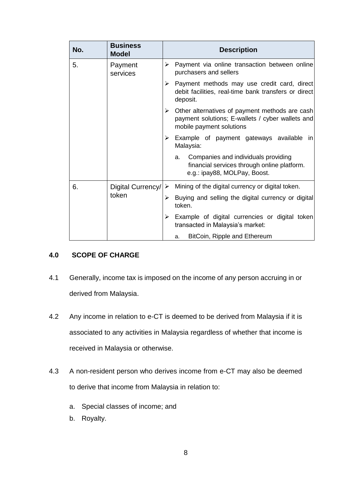| No. | <b>Business</b><br><b>Model</b> | <b>Description</b>                                                                                                                  |
|-----|---------------------------------|-------------------------------------------------------------------------------------------------------------------------------------|
| 5.  | Payment<br>services             | Payment via online transaction between online<br>➤<br>purchasers and sellers                                                        |
|     |                                 | Payment methods may use credit card, direct<br>➤<br>debit facilities, real-time bank transfers or direct<br>deposit.                |
|     |                                 | Other alternatives of payment methods are cash<br>➤<br>payment solutions; E-wallets / cyber wallets and<br>mobile payment solutions |
|     |                                 | Example of payment gateways available in<br>➤<br>Malaysia:                                                                          |
|     |                                 | Companies and individuals providing<br>a.<br>financial services through online platform.<br>e.g.: ipay88, MOLPay, Boost.            |
| 6.  | Digital Currency/               | Mining of the digital currency or digital token.<br>$\rightarrow$                                                                   |
|     | token                           | Buying and selling the digital currency or digital<br>➤<br>token.                                                                   |
|     |                                 | Example of digital currencies or digital token<br>➤<br>transacted in Malaysia's market:                                             |
|     |                                 | BitCoin, Ripple and Ethereum<br>a.                                                                                                  |

# <span id="page-7-0"></span>**4.0 SCOPE OF CHARGE**

- 4.1 Generally, income tax is imposed on the income of any person accruing in or derived from Malaysia.
- 4.2 Any income in relation to e-CT is deemed to be derived from Malaysia if it is associated to any activities in Malaysia regardless of whether that income is received in Malaysia or otherwise.
- 4.3 A non-resident person who derives income from e-CT may also be deemed to derive that income from Malaysia in relation to:
	- a. Special classes of income; and
	- b. Royalty.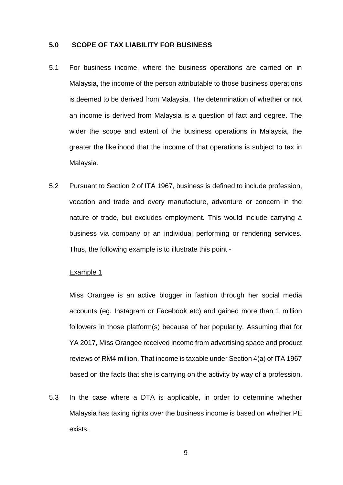#### <span id="page-8-0"></span>**5.0 SCOPE OF TAX LIABILITY FOR BUSINESS**

- 5.1 For business income, where the business operations are carried on in Malaysia, the income of the person attributable to those business operations is deemed to be derived from Malaysia. The determination of whether or not an income is derived from Malaysia is a question of fact and degree. The wider the scope and extent of the business operations in Malaysia, the greater the likelihood that the income of that operations is subject to tax in Malaysia.
- 5.2 Pursuant to Section 2 of ITA 1967, business is defined to include profession, vocation and trade and every manufacture, adventure or concern in the nature of trade, but excludes employment. This would include carrying a business via company or an individual performing or rendering services. Thus, the following example is to illustrate this point -

#### Example 1

Miss Orangee is an active blogger in fashion through her social media accounts (eg. Instagram or Facebook etc) and gained more than 1 million followers in those platform(s) because of her popularity. Assuming that for YA 2017, Miss Orangee received income from advertising space and product reviews of RM4 million. That income is taxable under Section 4(a) of ITA 1967 based on the facts that she is carrying on the activity by way of a profession.

5.3 In the case where a DTA is applicable, in order to determine whether Malaysia has taxing rights over the business income is based on whether PE exists.

9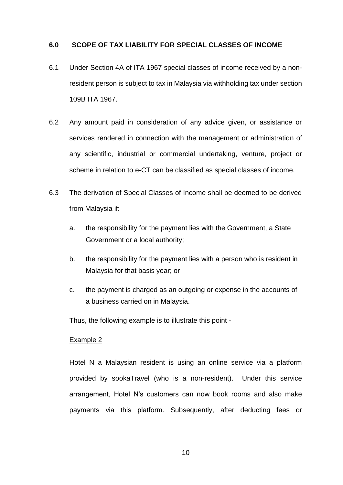## <span id="page-9-0"></span>**6.0 SCOPE OF TAX LIABILITY FOR SPECIAL CLASSES OF INCOME**

- 6.1 Under Section 4A of ITA 1967 special classes of income received by a nonresident person is subject to tax in Malaysia via withholding tax under section 109B ITA 1967.
- 6.2 Any amount paid in consideration of any advice given, or assistance or services rendered in connection with the management or administration of any scientific, industrial or commercial undertaking, venture, project or scheme in relation to e-CT can be classified as special classes of income.
- 6.3 The derivation of Special Classes of Income shall be deemed to be derived from Malaysia if:
	- a. the responsibility for the payment lies with the Government, a State Government or a local authority;
	- b. the responsibility for the payment lies with a person who is resident in Malaysia for that basis year; or
	- c. the payment is charged as an outgoing or expense in the accounts of a business carried on in Malaysia.

Thus, the following example is to illustrate this point -

#### Example 2

Hotel N a Malaysian resident is using an online service via a platform provided by sookaTravel (who is a non-resident). Under this service arrangement, Hotel N's customers can now book rooms and also make payments via this platform. Subsequently, after deducting fees or

10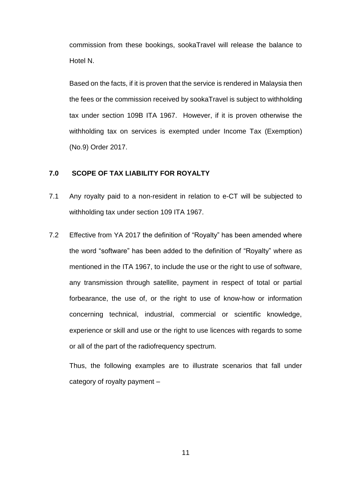commission from these bookings, sookaTravel will release the balance to Hotel N.

Based on the facts, if it is proven that the service is rendered in Malaysia then the fees or the commission received by sookaTravel is subject to withholding tax under section 109B ITA 1967. However, if it is proven otherwise the withholding tax on services is exempted under Income Tax (Exemption) (No.9) Order 2017.

# <span id="page-10-0"></span>**7.0 SCOPE OF TAX LIABILITY FOR ROYALTY**

- 7.1 Any royalty paid to a non-resident in relation to e-CT will be subjected to withholding tax under section 109 ITA 1967.
- 7.2 Effective from YA 2017 the definition of "Royalty" has been amended where the word "software" has been added to the definition of "Royalty" where as mentioned in the ITA 1967, to include the use or the right to use of software, any transmission through satellite, payment in respect of total or partial forbearance, the use of, or the right to use of know-how or information concerning technical, industrial, commercial or scientific knowledge, experience or skill and use or the right to use licences with regards to some or all of the part of the radiofrequency spectrum*.*

Thus, the following examples are to illustrate scenarios that fall under category of royalty payment –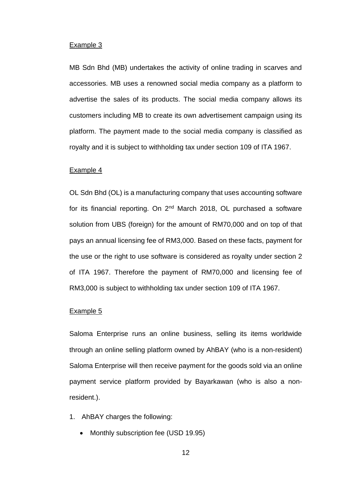#### Example 3

MB Sdn Bhd (MB) undertakes the activity of online trading in scarves and accessories. MB uses a renowned social media company as a platform to advertise the sales of its products. The social media company allows its customers including MB to create its own advertisement campaign using its platform. The payment made to the social media company is classified as royalty and it is subject to withholding tax under section 109 of ITA 1967.

#### Example 4

OL Sdn Bhd (OL) is a manufacturing company that uses accounting software for its financial reporting. On 2nd March 2018, OL purchased a software solution from UBS (foreign) for the amount of RM70,000 and on top of that pays an annual licensing fee of RM3,000. Based on these facts, payment for the use or the right to use software is considered as royalty under section 2 of ITA 1967. Therefore the payment of RM70,000 and licensing fee of RM3,000 is subject to withholding tax under section 109 of ITA 1967.

#### Example 5

Saloma Enterprise runs an online business, selling its items worldwide through an online selling platform owned by AhBAY (who is a non-resident) Saloma Enterprise will then receive payment for the goods sold via an online payment service platform provided by Bayarkawan (who is also a nonresident.).

- 1. AhBAY charges the following:
	- Monthly subscription fee (USD 19.95)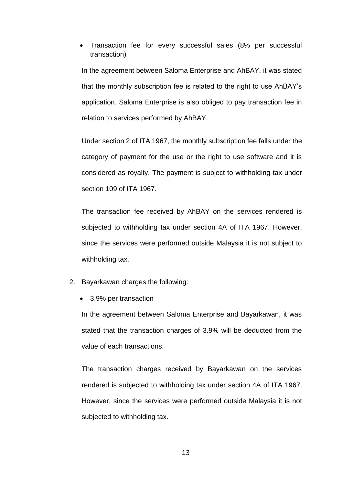Transaction fee for every successful sales (8% per successful transaction)

In the agreement between Saloma Enterprise and AhBAY, it was stated that the monthly subscription fee is related to the right to use AhBAY's application. Saloma Enterprise is also obliged to pay transaction fee in relation to services performed by AhBAY.

Under section 2 of ITA 1967, the monthly subscription fee falls under the category of payment for the use or the right to use software and it is considered as royalty. The payment is subject to withholding tax under section 109 of ITA 1967.

The transaction fee received by AhBAY on the services rendered is subjected to withholding tax under section 4A of ITA 1967. However, since the services were performed outside Malaysia it is not subject to withholding tax.

- 2. Bayarkawan charges the following:
	- 3.9% per transaction

In the agreement between Saloma Enterprise and Bayarkawan, it was stated that the transaction charges of 3.9% will be deducted from the value of each transactions.

The transaction charges received by Bayarkawan on the services rendered is subjected to withholding tax under section 4A of ITA 1967. However, since the services were performed outside Malaysia it is not subjected to withholding tax.

13